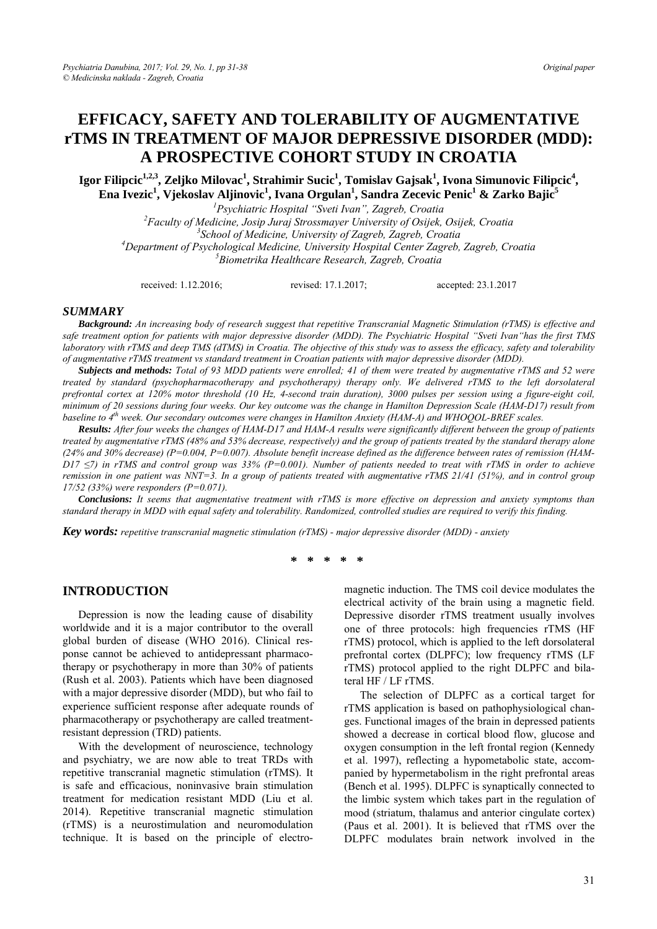# **EFFICACY, SAFETY AND TOLERABILITY OF AUGMENTATIVE rTMS IN TREATMENT OF MAJOR DEPRESSIVE DISORDER (MDD): A PROSPECTIVE COHORT STUDY IN CROATIA**

 ${\bf I}$ gor Filipcic $^{1,2,3}$ , Zeljko Milovac $^1$ , Strahimir Sucic $^1$ , Tomislav Gajsak $^1$ , Ivona Simunovic Filipcic $^4$ , **Ena Ivezic1 , Vjekoslav Aljinovic1 , Ivana Orgulan1 , Sandra Zecevic Penic1 & Zarko Bajic5**

*1 Psychiatric Hospital "Sveti Ivan", Zagreb, Croatia 2 Faculty of Medicine, Josip Juraj Strossmayer University of Osijek, Osijek, Croatia 3 School of Medicine, University of Zagreb, Zagreb, Croatia 4* <sup>4</sup>Department of Psychological Medicine, University Hospital Center Zagreb, Zagreb, Croatia *Biometrika Healthcare Research, Zagreb, Croatia* 

received: 1.12.2016; revised: 17.1.2017; accepted: 23.1.2017

## *SUMMARY*

*Background: An increasing body of research suggest that repetitive Transcranial Magnetic Stimulation (rTMS) is effective and safe treatment option for patients with major depressive disorder (MDD). The Psychiatric Hospital "Sveti Ivan"has the first TMS laboratory with rTMS and deep TMS (dTMS) in Croatia. The objective of this study was to assess the efficacy, safety and tolerability of augmentative rTMS treatment vs standard treatment in Croatian patients with major depressive disorder (MDD).* 

*Subjects and methods: Total of 93 MDD patients were enrolled; 41 of them were treated by augmentative rTMS and 52 were treated by standard (psychopharmacotherapy and psychotherapy) therapy only. We delivered rTMS to the left dorsolateral prefrontal cortex at 120% motor threshold (10 Hz, 4-second train duration), 3000 pulses per session using a figure-eight coil, minimum of 20 sessions during four weeks. Our key outcome was the change in Hamilton Depression Scale (HAM-D17) result from baseline to 4th week. Our secondary outcomes were changes in Hamilton Anxiety (HAM-A) and WHOQOL-BREF scales.* 

*Results: After four weeks the changes of HAM-D17 and HAM-A results were significantly different between the group of patients treated by augmentative rTMS (48% and 53% decrease, respectively) and the group of patients treated by the standard therapy alone (24% and 30% decrease) (P=0.004, P=0.007). Absolute benefit increase defined as the difference between rates of remission (HAM-D17* ≤7) in rTMS and control group was 33% (P=0.001). Number of patients needed to treat with rTMS in order to achieve *remission in one patient was NNT=3. In a group of patients treated with augmentative rTMS 21/41 (51%), and in control group 17/52 (33%) were responders (P=0.071).* 

*Conclusions: It seems that augmentative treatment with rTMS is more effective on depression and anxiety symptoms than standard therapy in MDD with equal safety and tolerability. Randomized, controlled studies are required to verify this finding.*

*Key words: repetitive transcranial magnetic stimulation (rTMS) - major depressive disorder (MDD) - anxiety* 

**\* \* \* \* \*** 

#### **INTRODUCTION**

Depression is now the leading cause of disability worldwide and it is a major contributor to the overall global burden of disease (WHO 2016). Clinical response cannot be achieved to antidepressant pharmacotherapy or psychotherapy in more than 30% of patients (Rush et al. 2003). Patients which have been diagnosed with a major depressive disorder (MDD), but who fail to experience sufficient response after adequate rounds of pharmacotherapy or psychotherapy are called treatmentresistant depression (TRD) patients.

With the development of neuroscience, technology and psychiatry, we are now able to treat TRDs with repetitive transcranial magnetic stimulation (rTMS). It is safe and efficacious, noninvasive brain stimulation treatment for medication resistant MDD (Liu et al. 2014). Repetitive transcranial magnetic stimulation (rTMS) is a neurostimulation and neuromodulation technique. It is based on the principle of electromagnetic induction. The TMS coil device modulates the electrical activity of the brain using a magnetic field. Depressive disorder rTMS treatment usually involves one of three protocols: high frequencies rTMS (HF rTMS) protocol, which is applied to the left dorsolateral prefrontal cortex (DLPFC); low frequency rTMS (LF rTMS) protocol applied to the right DLPFC and bilateral HF / LF rTMS.

The selection of DLPFC as a cortical target for rTMS application is based on pathophysiological changes. Functional images of the brain in depressed patients showed a decrease in cortical blood flow, glucose and oxygen consumption in the left frontal region (Kennedy et al. 1997), reflecting a hypometabolic state, accompanied by hypermetabolism in the right prefrontal areas (Bench et al. 1995). DLPFC is synaptically connected to the limbic system which takes part in the regulation of mood (striatum, thalamus and anterior cingulate cortex) (Paus et al. 2001). It is believed that rTMS over the DLPFC modulates brain network involved in the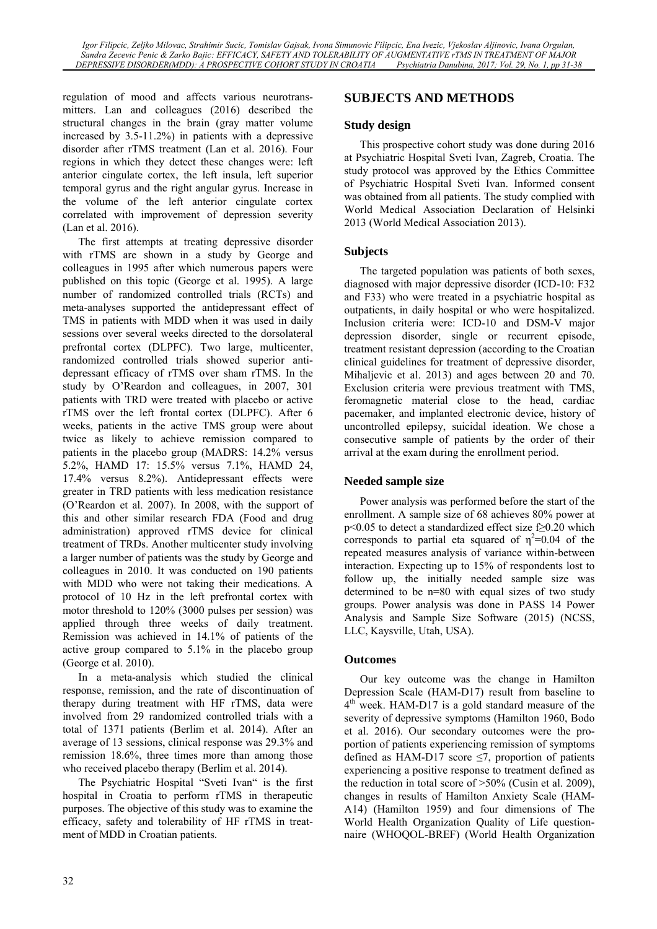regulation of mood and affects various neurotransmitters. Lan and colleagues (2016) described the structural changes in the brain (gray matter volume increased by 3.5-11.2%) in patients with a depressive disorder after rTMS treatment (Lan et al. 2016). Four regions in which they detect these changes were: left anterior cingulate cortex, the left insula, left superior temporal gyrus and the right angular gyrus. Increase in the volume of the left anterior cingulate cortex correlated with improvement of depression severity (Lan et al. 2016).

The first attempts at treating depressive disorder with rTMS are shown in a study by George and colleagues in 1995 after which numerous papers were published on this topic (George et al. 1995). A large number of randomized controlled trials (RCTs) and meta-analyses supported the antidepressant effect of TMS in patients with MDD when it was used in daily sessions over several weeks directed to the dorsolateral prefrontal cortex (DLPFC). Two large, multicenter, randomized controlled trials showed superior antidepressant efficacy of rTMS over sham rTMS. In the study by O'Reardon and colleagues, in 2007, 301 patients with TRD were treated with placebo or active rTMS over the left frontal cortex (DLPFC). After 6 weeks, patients in the active TMS group were about twice as likely to achieve remission compared to patients in the placebo group (MADRS: 14.2% versus 5.2%, HAMD 17: 15.5% versus 7.1%, HAMD 24, 17.4% versus 8.2%). Antidepressant effects were greater in TRD patients with less medication resistance (O'Reardon et al. 2007). In 2008, with the support of this and other similar research FDA (Food and drug administration) approved rTMS device for clinical treatment of TRDs. Another multicenter study involving a larger number of patients was the study by George and colleagues in 2010. It was conducted on 190 patients with MDD who were not taking their medications. A protocol of 10 Hz in the left prefrontal cortex with motor threshold to 120% (3000 pulses per session) was applied through three weeks of daily treatment. Remission was achieved in 14.1% of patients of the active group compared to 5.1% in the placebo group (George et al. 2010).

In a meta-analysis which studied the clinical response, remission, and the rate of discontinuation of therapy during treatment with HF rTMS, data were involved from 29 randomized controlled trials with a total of 1371 patients (Berlim et al. 2014). After an average of 13 sessions, clinical response was 29.3% and remission 18.6%, three times more than among those who received placebo therapy (Berlim et al. 2014).

The Psychiatric Hospital "Sveti Ivan" is the first hospital in Croatia to perform rTMS in therapeutic purposes. The objective of this study was to examine the efficacy, safety and tolerability of HF rTMS in treatment of MDD in Croatian patients.

## **SUBJECTS AND METHODS**

## **Study design**

This prospective cohort study was done during 2016 at Psychiatric Hospital Sveti Ivan, Zagreb, Croatia. The study protocol was approved by the Ethics Committee of Psychiatric Hospital Sveti Ivan. Informed consent was obtained from all patients. The study complied with World Medical Association Declaration of Helsinki 2013 (World Medical Association 2013).

## **Subjects**

The targeted population was patients of both sexes, diagnosed with major depressive disorder (ICD-10: F32 and F33) who were treated in a psychiatric hospital as outpatients, in daily hospital or who were hospitalized. Inclusion criteria were: ICD-10 and DSM-V major depression disorder, single or recurrent episode, treatment resistant depression (according to the Croatian clinical guidelines for treatment of depressive disorder, Mihaljevic et al. 2013) and ages between 20 and 70. Exclusion criteria were previous treatment with TMS, feromagnetic material close to the head, cardiac pacemaker, and implanted electronic device, history of uncontrolled epilepsy, suicidal ideation. We chose a consecutive sample of patients by the order of their arrival at the exam during the enrollment period.

## **Needed sample size**

Power analysis was performed before the start of the enrollment. A sample size of 68 achieves 80% power at p<0.05 to detect a standardized effect size f≥0.20 which corresponds to partial eta squared of  $\eta^2$ =0.04 of the repeated measures analysis of variance within-between interaction. Expecting up to 15% of respondents lost to follow up, the initially needed sample size was determined to be n=80 with equal sizes of two study groups. Power analysis was done in PASS 14 Power Analysis and Sample Size Software (2015) (NCSS, LLC, Kaysville, Utah, USA).

## **Outcomes**

Our key outcome was the change in Hamilton Depression Scale (HAM-D17) result from baseline to 4<sup>th</sup> week. HAM-D17 is a gold standard measure of the severity of depressive symptoms (Hamilton 1960, Bodo et al. 2016). Our secondary outcomes were the proportion of patients experiencing remission of symptoms defined as HAM-D17 score  $\leq$ 7, proportion of patients experiencing a positive response to treatment defined as the reduction in total score of >50% (Cusin et al. 2009), changes in results of Hamilton Anxiety Scale (HAM-A14) (Hamilton 1959) and four dimensions of The World Health Organization Quality of Life questionnaire (WHOQOL-BREF) (World Health Organization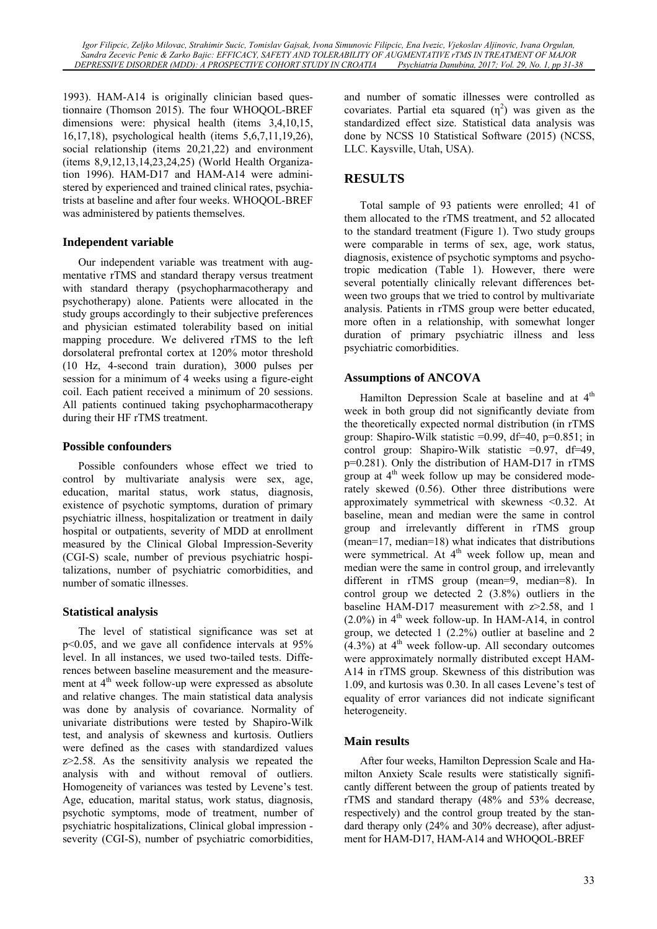*Igor Filipcic, Zeljko Milovac, Strahimir Sucic, Tomislav Gajsak, Ivona Simunovic Filipcic, Ena Ivezic, Vjekoslav Aljinovic, Ivana Orgulan, Sandra Zecevic Penic & Zarko Bajic: EFFICACY, SAFETY AND TOLERABILITY OF AUGMENTATIVE rTMS IN TREATMENT OF MAJOR DEPRESSIVE DISORDER (MDD): A PROSPECTIVE COHORT STUDY IN CROATIA* 

1993). HAM-A14 is originally clinician based questionnaire (Thomson 2015). The four WHOQOL-BREF dimensions were: physical health (items 3,4,10,15, 16,17,18), psychological health (items 5,6,7,11,19,26), social relationship (items 20,21,22) and environment (items 8,9,12,13,14,23,24,25) (World Health Organization 1996). HAM-D17 and HAM-A14 were administered by experienced and trained clinical rates, psychiatrists at baseline and after four weeks. WHOQOL-BREF was administered by patients themselves.

## **Independent variable**

Our independent variable was treatment with augmentative rTMS and standard therapy versus treatment with standard therapy (psychopharmacotherapy and psychotherapy) alone. Patients were allocated in the study groups accordingly to their subjective preferences and physician estimated tolerability based on initial mapping procedure. We delivered rTMS to the left dorsolateral prefrontal cortex at 120% motor threshold (10 Hz, 4-second train duration), 3000 pulses per session for a minimum of 4 weeks using a figure-eight coil. Each patient received a minimum of 20 sessions. All patients continued taking psychopharmacotherapy during their HF rTMS treatment.

## **Possible confounders**

Possible confounders whose effect we tried to control by multivariate analysis were sex, age, education, marital status, work status, diagnosis, existence of psychotic symptoms, duration of primary psychiatric illness, hospitalization or treatment in daily hospital or outpatients, severity of MDD at enrollment measured by the Clinical Global Impression-Severity (CGI-S) scale, number of previous psychiatric hospitalizations, number of psychiatric comorbidities, and number of somatic illnesses.

## **Statistical analysis**

The level of statistical significance was set at p<0.05, and we gave all confidence intervals at 95% level. In all instances, we used two-tailed tests. Differences between baseline measurement and the measurement at  $4<sup>th</sup>$  week follow-up were expressed as absolute and relative changes. The main statistical data analysis was done by analysis of covariance. Normality of univariate distributions were tested by Shapiro-Wilk test, and analysis of skewness and kurtosis. Outliers were defined as the cases with standardized values z>2.58. As the sensitivity analysis we repeated the analysis with and without removal of outliers. Homogeneity of variances was tested by Levene's test. Age, education, marital status, work status, diagnosis, psychotic symptoms, mode of treatment, number of psychiatric hospitalizations, Clinical global impression severity (CGI-S), number of psychiatric comorbidities,

and number of somatic illnesses were controlled as covariates. Partial eta squared  $(\eta^2)$  was given as the standardized effect size. Statistical data analysis was done by NCSS 10 Statistical Software (2015) (NCSS, LLC. Kaysville, Utah, USA).

## **RESULTS**

Total sample of 93 patients were enrolled; 41 of them allocated to the rTMS treatment, and 52 allocated to the standard treatment (Figure 1). Two study groups were comparable in terms of sex, age, work status, diagnosis, existence of psychotic symptoms and psychotropic medication (Table 1). However, there were several potentially clinically relevant differences between two groups that we tried to control by multivariate analysis. Patients in rTMS group were better educated, more often in a relationship, with somewhat longer duration of primary psychiatric illness and less psychiatric comorbidities.

## **Assumptions of ANCOVA**

Hamilton Depression Scale at baseline and at  $4<sup>th</sup>$ week in both group did not significantly deviate from the theoretically expected normal distribution (in rTMS group: Shapiro-Wilk statistic  $=0.99$ , df $=40$ ,  $p=0.851$ ; in control group: Shapiro-Wilk statistic =0.97, df=49, p=0.281). Only the distribution of HAM-D17 in rTMS group at  $4<sup>th</sup>$  week follow up may be considered moderately skewed (0.56). Other three distributions were approximately symmetrical with skewness <0.32. At baseline, mean and median were the same in control group and irrelevantly different in rTMS group (mean=17, median=18) what indicates that distributions were symmetrical. At  $4<sup>th</sup>$  week follow up, mean and median were the same in control group, and irrelevantly different in rTMS group (mean=9, median=8). In control group we detected 2 (3.8%) outliers in the baseline HAM-D17 measurement with z>2.58, and 1  $(2.0\%)$  in 4<sup>th</sup> week follow-up. In HAM-A14, in control group, we detected 1 (2.2%) outlier at baseline and 2  $(4.3\%)$  at 4<sup>th</sup> week follow-up. All secondary outcomes were approximately normally distributed except HAM-A14 in rTMS group. Skewness of this distribution was 1.09, and kurtosis was 0.30. In all cases Levene's test of equality of error variances did not indicate significant heterogeneity.

#### **Main results**

After four weeks, Hamilton Depression Scale and Hamilton Anxiety Scale results were statistically significantly different between the group of patients treated by rTMS and standard therapy (48% and 53% decrease, respectively) and the control group treated by the standard therapy only (24% and 30% decrease), after adjustment for HAM-D17, HAM-A14 and WHOQOL-BREF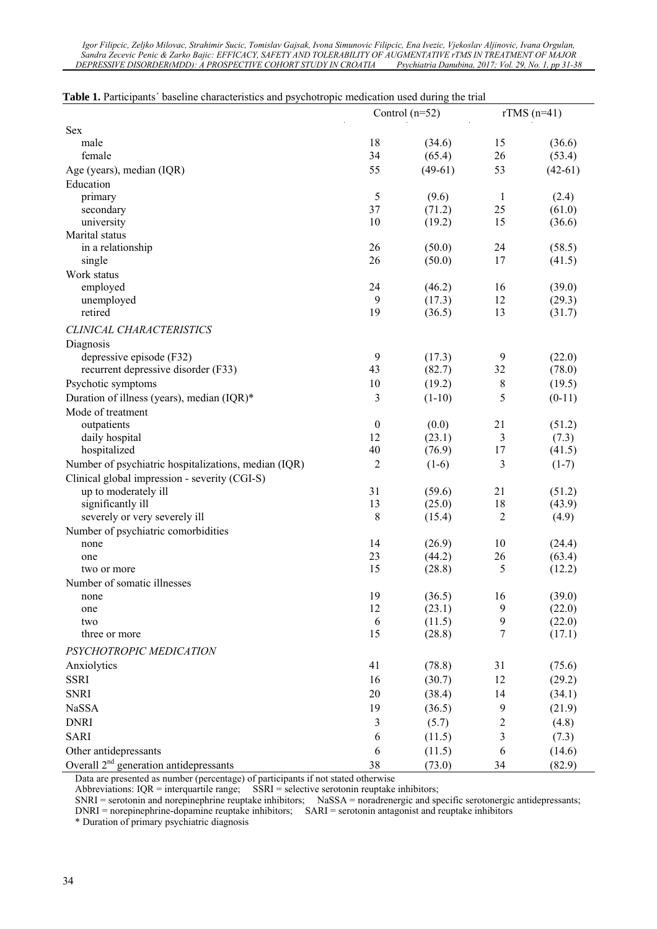| Igor Filipcic, Zeljko Milovac, Strahimir Sucic, Tomislav Gajsak, Ivona Simunovic Filipcic, Ena Ivezic, Vjekoslav Aljinovic, Ivana Orgulan, |                                                      |
|--------------------------------------------------------------------------------------------------------------------------------------------|------------------------------------------------------|
| Sandra Zecevic Penic & Zarko Bajic: EFFICACY, SAFETY AND TOLERABILITY OF AUGMENTATIVE rTMS IN TREATMENT OF MAJOR                           |                                                      |
| DEPRESSIVE DISORDER(MDD): A PROSPECTIVE COHORT STUDY IN CROATIA                                                                            | Psychiatria Danubina, 2017; Vol. 29, No. 1, pp 31-38 |

|                                                      |                  | Control $(n=52)$ | $rTMS(n=41)$ |           |  |
|------------------------------------------------------|------------------|------------------|--------------|-----------|--|
| Sex                                                  |                  |                  |              |           |  |
| male                                                 | 18               | (34.6)           | 15           | (36.6)    |  |
| female                                               | 34               | (65.4)           | 26           | (53.4)    |  |
| Age (years), median (IQR)                            | 55               | $(49-61)$        | 53           | $(42-61)$ |  |
| Education                                            |                  |                  |              |           |  |
| primary                                              | 5                | (9.6)            | $\mathbf{1}$ | (2.4)     |  |
| secondary                                            | 37               | (71.2)           | 25           | (61.0)    |  |
| university                                           | 10               | (19.2)           | 15           | (36.6)    |  |
| Marital status                                       |                  |                  |              |           |  |
| in a relationship                                    | 26               | (50.0)           | 24           | (58.5)    |  |
| single                                               | 26               | (50.0)           | 17           | (41.5)    |  |
| Work status                                          |                  |                  |              |           |  |
| employed                                             | 24               | (46.2)           | 16           | (39.0)    |  |
| unemployed                                           | 9                | (17.3)           | 12           | (29.3)    |  |
| retired                                              | 19               | (36.5)           | 13           | (31.7)    |  |
| CLINICAL CHARACTERISTICS                             |                  |                  |              |           |  |
| Diagnosis                                            |                  |                  |              |           |  |
| depressive episode (F32)                             | 9                | (17.3)           | 9            | (22.0)    |  |
| recurrent depressive disorder (F33)                  | 43               | (82.7)           | 32           | (78.0)    |  |
| Psychotic symptoms                                   | 10               | (19.2)           | 8            | (19.5)    |  |
| Duration of illness (years), median (IQR)*           | 3                | $(1-10)$         | 5            | $(0-11)$  |  |
| Mode of treatment                                    |                  |                  |              |           |  |
| outpatients                                          | $\boldsymbol{0}$ | (0.0)            | 21           | (51.2)    |  |
| daily hospital                                       | 12               | (23.1)           | 3            | (7.3)     |  |
| hospitalized                                         | 40               | (76.9)           | 17           | (41.5)    |  |
| Number of psychiatric hospitalizations, median (IQR) | 2                | $(1-6)$          | 3            | $(1-7)$   |  |
| Clinical global impression - severity (CGI-S)        |                  |                  |              |           |  |
| up to moderately ill                                 | 31               | (59.6)           | 21           | (51.2)    |  |
| significantly ill                                    | 13               | (25.0)           | 18           | (43.9)    |  |
| severely or very severely ill                        | 8                | (15.4)           | 2            | (4.9)     |  |
| Number of psychiatric comorbidities                  |                  |                  |              |           |  |
| none                                                 | 14               | (26.9)           | 10           | (24.4)    |  |
| one                                                  | 23               | (44.2)           | 26           | (63.4)    |  |
| two or more                                          | 15               | (28.8)           | 5            | (12.2)    |  |
| Number of somatic illnesses                          |                  |                  |              |           |  |
| none                                                 | 19               | (36.5)           | 16           | (39.0)    |  |
| one                                                  | 12               | (23.1)           | 9            | (22.0)    |  |
| two                                                  | 6                | (11.5)           | 9            | (22.0)    |  |
| three or more                                        | 15               | (28.8)           | 7            | (17.1)    |  |
| PSYCHOTROPIC MEDICATION                              |                  |                  |              |           |  |
|                                                      |                  |                  |              |           |  |
| Anxiolytics                                          | 41               | (78.8)           | 31           | (75.6)    |  |
| <b>SSRI</b>                                          | 16               | (30.7)           | 12           | (29.2)    |  |
| <b>SNRI</b>                                          | 20               | (38.4)           | 14           | (34.1)    |  |
| NaSSA                                                | 19               | (36.5)           | 9            | (21.9)    |  |
| <b>DNRI</b>                                          | 3                | (5.7)            | $\sqrt{2}$   | (4.8)     |  |
| <b>SARI</b>                                          | 6                | (11.5)           | 3            | (7.3)     |  |
| Other antidepressants                                | 6                | (11.5)           | 6            | (14.6)    |  |
| Overall $2nd$ generation antidepressants             | 38               | (73.0)           | 34           | (82.9)    |  |

|  | Table 1. Participants' baseline characteristics and psychotropic medication used during the trial |  |  |  |
|--|---------------------------------------------------------------------------------------------------|--|--|--|
|--|---------------------------------------------------------------------------------------------------|--|--|--|

Data are presented as number (percentage) of participants if not stated otherwise

Abbreviations:  $IQR =$  interquartile range;  $SSRI =$  selective serotonin reuptake inhibitors;

SNRI = serotonin and norepinephrine reuptake inhibitors; NaSSA = noradrenergic and specific serotonergic antidepressants;

DNRI = norepinephrine-dopamine reuptake inhibitors; SARI = serotonin antagonist and reuptake inhibitors

\* Duration of primary psychiatric diagnosis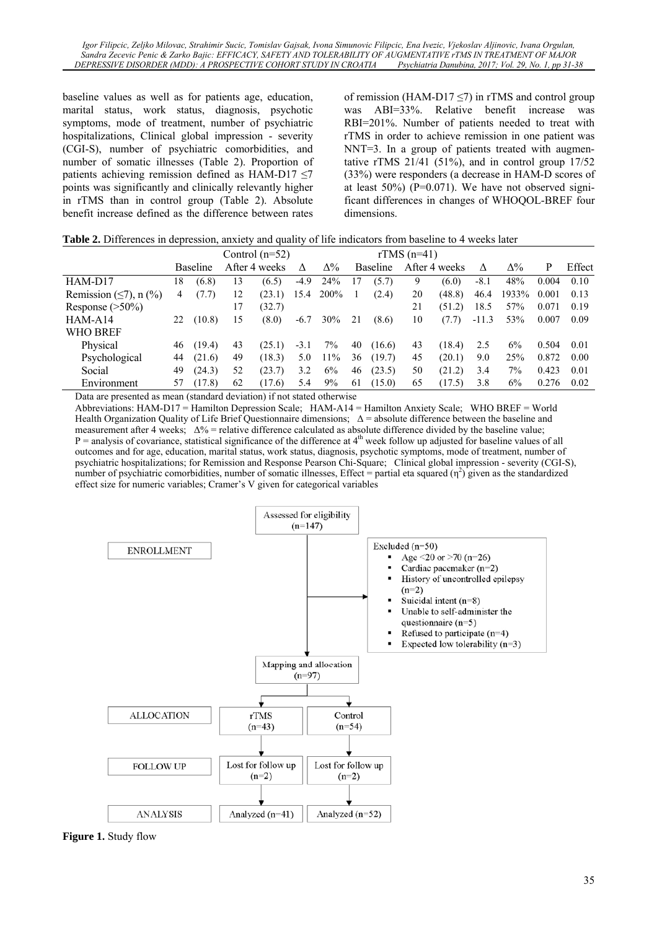baseline values as well as for patients age, education, marital status, work status, diagnosis, psychotic symptoms, mode of treatment, number of psychiatric hospitalizations, Clinical global impression - severity (CGI-S), number of psychiatric comorbidities, and number of somatic illnesses (Table 2). Proportion of patients achieving remission defined as HAM-D17 ≤7 points was significantly and clinically relevantly higher in rTMS than in control group (Table 2). Absolute benefit increase defined as the difference between rates of remission (HAM-D17  $\le$ 7) in rTMS and control group was ABI=33%. Relative benefit increase was RBI=201%. Number of patients needed to treat with rTMS in order to achieve remission in one patient was NNT=3. In a group of patients treated with augmentative rTMS  $21/41$  (51%), and in control group  $17/52$ (33%) were responders (a decrease in HAM-D scores of at least  $50\%$ ) (P=0.071). We have not observed significant differences in changes of WHOQOL-BREF four dimensions.

| Table 2. Differences in depression, anxiety and quality of life indicators from baseline to 4 weeks later |  |  |  |
|-----------------------------------------------------------------------------------------------------------|--|--|--|
|-----------------------------------------------------------------------------------------------------------|--|--|--|

|                                  |    |                 |    | Control $(n=52)$ |        | rTMS $(n=41)$ |    |                 |    |               |         |            |       |        |
|----------------------------------|----|-----------------|----|------------------|--------|---------------|----|-----------------|----|---------------|---------|------------|-------|--------|
|                                  |    | <b>Baseline</b> |    | After 4 weeks    | Λ      | $\Delta\%$    |    | <b>Baseline</b> |    | After 4 weeks | Λ       | $\Delta\%$ | P     | Effect |
| HAM-D17                          | 18 | (6.8)           | 13 | (6.5)            | $-4.9$ | 24%           | 17 | (5.7)           | 9. | (6.0)         | $-8.1$  | 48%        | 0.004 | 0.10   |
| Remission $(\leq 7)$ , n $(\% )$ | 4  | (7.7)           | 12 | (23.1)           | 15.4   | 200%          |    | (2.4)           | 20 | (48.8)        | 46.4    | 1933%      | 0.001 | 0.13   |
| Response $(>50\%)$               |    |                 | 17 | (32.7)           |        |               |    |                 | 21 | (51.2)        | 18.5    | 57%        | 0.071 | 0.19   |
| HAM-A14                          | 22 | (10.8)          | 15 | (8.0)            | $-6.7$ | 30%           | 21 | (8.6)           | 10 | (7.7)         | $-11.3$ | 53%        | 0.007 | 0.09   |
| <b>WHO BREF</b>                  |    |                 |    |                  |        |               |    |                 |    |               |         |            |       |        |
| Physical                         | 46 | (19.4)          | 43 | (25.1)           | $-3.1$ | $7\%$         | 40 | (16.6)          | 43 | (18.4)        | 2.5     | 6%         | 0.504 | 0.01   |
| Psychological                    | 44 | (21.6)          | 49 | (18.3)           | 5.0    | 11%           | 36 | (19.7)          | 45 | (20.1)        | 9.0     | 25%        | 0.872 | 0.00   |
| Social                           | 49 | (24.3)          | 52 | (23.7)           | 3.2    | 6%            | 46 | (23.5)          | 50 | (21.2)        | 3.4     | 7%         | 0.423 | 0.01   |
| Environment                      | 57 | (17.8)          | 62 | (17.6)           | 5.4    | 9%            | 61 | (15.0)          | 65 | (17.5)        | 3.8     | 6%         | 0.276 | 0.02   |

Data are presented as mean (standard deviation) if not stated otherwise

Abbreviations: HAM-D17 = Hamilton Depression Scale; HAM-A14 = Hamilton Anxiety Scale; WHO BREF = World Health Organization Quality of Life Brief Questionnaire dimensions;  $\Delta$  = absolute difference between the baseline and measurement after 4 weeks; ∆% = relative difference calculated as absolute difference divided by the baseline value;  $P =$  analysis of covariance, statistical significance of the difference at  $4<sup>th</sup>$  week follow up adjusted for baseline values of all outcomes and for age, education, marital status, work status, diagnosis, psychotic symptoms, mode of treatment, number of psychiatric hospitalizations; for Remission and Response Pearson Chi-Square; Clinical global impression - severity (CGI-S), number of psychiatric comorbidities, number of somatic illnesses, Effect = partial eta squared  $(\eta^2)$  given as the standardized effect size for numeric variables; Cramer's V given for categorical variables



**Figure 1.** Study flow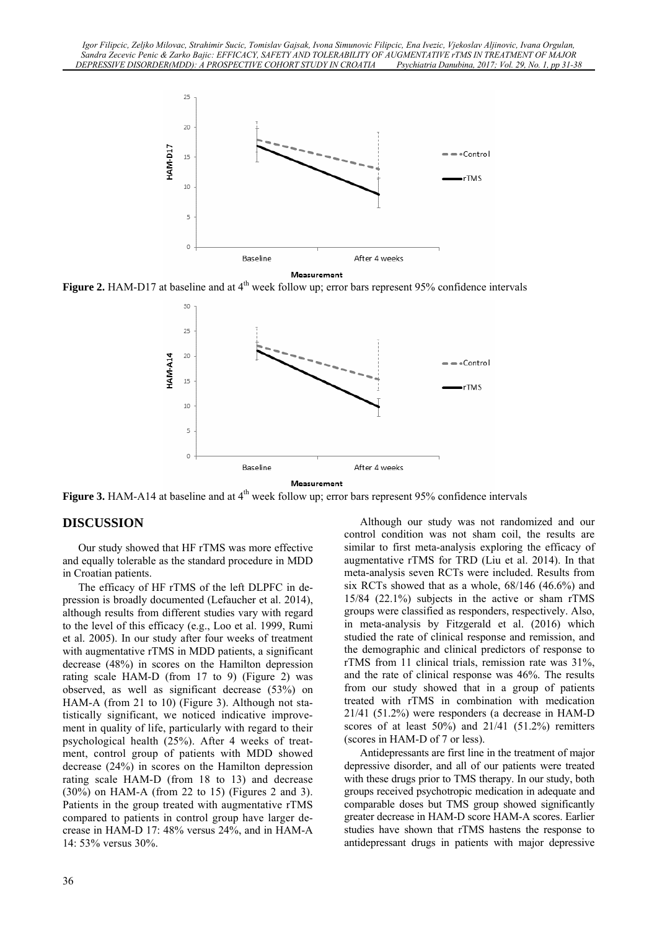

**Figure 2.** HAM-D17 at baseline and at 4<sup>th</sup> week follow up; error bars represent 95% confidence intervals



Measurement

**Figure 3.** HAM-A14 at baseline and at 4<sup>th</sup> week follow up; error bars represent 95% confidence intervals

#### **DISCUSSION**

Our study showed that HF rTMS was more effective and equally tolerable as the standard procedure in MDD in Croatian patients.

The efficacy of HF rTMS of the left DLPFC in depression is broadly documented (Lefaucher et al. 2014), although results from different studies vary with regard to the level of this efficacy (e.g., Loo et al. 1999, Rumi et al. 2005). In our study after four weeks of treatment with augmentative rTMS in MDD patients, a significant decrease (48%) in scores on the Hamilton depression rating scale HAM-D (from 17 to 9) (Figure 2) was observed, as well as significant decrease (53%) on HAM-A (from 21 to 10) (Figure 3). Although not statistically significant, we noticed indicative improvement in quality of life, particularly with regard to their psychological health (25%). After 4 weeks of treatment, control group of patients with MDD showed decrease (24%) in scores on the Hamilton depression rating scale HAM-D (from 18 to 13) and decrease (30%) on HAM-A (from 22 to 15) (Figures 2 and 3). Patients in the group treated with augmentative rTMS compared to patients in control group have larger decrease in HAM-D 17: 48% versus 24%, and in HAM-A 14: 53% versus 30%.

Although our study was not randomized and our control condition was not sham coil, the results are similar to first meta-analysis exploring the efficacy of augmentative rTMS for TRD (Liu et al. 2014). In that meta-analysis seven RCTs were included. Results from six RCTs showed that as a whole, 68/146 (46.6%) and 15/84 (22.1%) subjects in the active or sham rTMS groups were classified as responders, respectively. Also, in meta-analysis by Fitzgerald et al. (2016) which studied the rate of clinical response and remission, and the demographic and clinical predictors of response to rTMS from 11 clinical trials, remission rate was 31%, and the rate of clinical response was 46%. The results from our study showed that in a group of patients treated with rTMS in combination with medication 21/41 (51.2%) were responders (a decrease in HAM-D scores of at least 50%) and 21/41 (51.2%) remitters (scores in HAM-D of 7 or less).

Antidepressants are first line in the treatment of major depressive disorder, and all of our patients were treated with these drugs prior to TMS therapy. In our study, both groups received psychotropic medication in adequate and comparable doses but TMS group showed significantly greater decrease in HAM-D score HAM-A scores. Earlier studies have shown that rTMS hastens the response to antidepressant drugs in patients with major depressive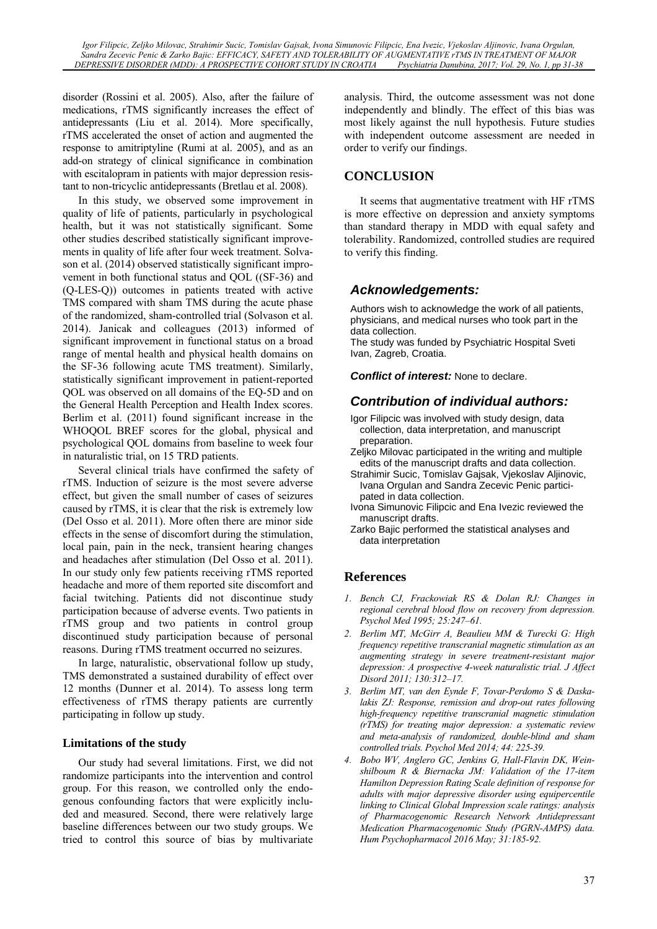*Igor Filipcic, Zeljko Milovac, Strahimir Sucic, Tomislav Gajsak, Ivona Simunovic Filipcic, Ena Ivezic, Vjekoslav Aljinovic, Ivana Orgulan, Sandra Zecevic Penic & Zarko Bajic: EFFICACY, SAFETY AND TOLERABILITY OF AUGMENTATIVE rTMS IN TREATMENT OF MAJOR DEPRESSIVE DISORDER (MDD): A PROSPECTIVE COHORT STUDY IN CROATIA* 

disorder (Rossini et al. 2005). Also, after the failure of medications, rTMS significantly increases the effect of antidepressants (Liu et al. 2014). More specifically, rTMS accelerated the onset of action and augmented the response to amitriptyline (Rumi at al. 2005), and as an add-on strategy of clinical significance in combination with escitalopram in patients with major depression resistant to non-tricyclic antidepressants (Bretlau et al. 2008).

In this study, we observed some improvement in quality of life of patients, particularly in psychological health, but it was not statistically significant. Some other studies described statistically significant improvements in quality of life after four week treatment. Solvason et al. (2014) observed statistically significant improvement in both functional status and QOL ((SF-36) and (Q-LES-Q)) outcomes in patients treated with active TMS compared with sham TMS during the acute phase of the randomized, sham-controlled trial (Solvason et al. 2014). Janicak and colleagues (2013) informed of significant improvement in functional status on a broad range of mental health and physical health domains on the SF-36 following acute TMS treatment). Similarly, statistically significant improvement in patient-reported QOL was observed on all domains of the EQ-5D and on the General Health Perception and Health Index scores. Berlim et al. (2011) found significant increase in the WHOQOL BREF scores for the global, physical and psychological QOL domains from baseline to week four in naturalistic trial, on 15 TRD patients.

Several clinical trials have confirmed the safety of rTMS. Induction of seizure is the most severe adverse effect, but given the small number of cases of seizures caused by rTMS, it is clear that the risk is extremely low (Del Osso et al. 2011). More often there are minor side effects in the sense of discomfort during the stimulation, local pain, pain in the neck, transient hearing changes and headaches after stimulation (Del Osso et al. 2011). In our study only few patients receiving rTMS reported headache and more of them reported site discomfort and facial twitching. Patients did not discontinue study participation because of adverse events. Two patients in rTMS group and two patients in control group discontinued study participation because of personal reasons. During rTMS treatment occurred no seizures.

In large, naturalistic, observational follow up study, TMS demonstrated a sustained durability of effect over 12 months (Dunner et al. 2014). To assess long term effectiveness of rTMS therapy patients are currently participating in follow up study.

#### **Limitations of the study**

Our study had several limitations. First, we did not randomize participants into the intervention and control group. For this reason, we controlled only the endogenous confounding factors that were explicitly included and measured. Second, there were relatively large baseline differences between our two study groups. We tried to control this source of bias by multivariate

analysis. Third, the outcome assessment was not done independently and blindly. The effect of this bias was most likely against the null hypothesis. Future studies with independent outcome assessment are needed in order to verify our findings.

#### **CONCLUSION**

It seems that augmentative treatment with HF rTMS is more effective on depression and anxiety symptoms than standard therapy in MDD with equal safety and tolerability. Randomized, controlled studies are required to verify this finding.

#### *Acknowledgements:*

Authors wish to acknowledge the work of all patients, physicians, and medical nurses who took part in the data collection.

The study was funded by Psychiatric Hospital Sveti Ivan, Zagreb, Croatia.

*Conflict of interest:* None to declare.

## *Contribution of individual authors:*

- Igor Filipcic was involved with study design, data collection, data interpretation, and manuscript preparation.
- Zeljko Milovac participated in the writing and multiple edits of the manuscript drafts and data collection.
- Strahimir Sucic, Tomislav Gajsak, Vjekoslav Aljinovic, Ivana Orgulan and Sandra Zecevic Penic participated in data collection.
- Ivona Simunovic Filipcic and Ena Ivezic reviewed the manuscript drafts.
- Zarko Bajic performed the statistical analyses and data interpretation

#### **References**

- *1. Bench CJ, Frackowiak RS & Dolan RJ: Changes in regional cerebral blood flow on recovery from depression. Psychol Med 1995; 25:247–61.*
- *2. Berlim MT, McGirr A, Beaulieu MM & Turecki G: High frequency repetitive transcranial magnetic stimulation as an augmenting strategy in severe treatment-resistant major depression: A prospective 4-week naturalistic trial. J Affect Disord 2011; 130:312–17.*
- *3. Berlim MT, van den Eynde F, Tovar-Perdomo S & Daskalakis ZJ: Response, remission and drop-out rates following high-frequency repetitive transcranial magnetic stimulation (rTMS) for treating major depression: a systematic review and meta-analysis of randomized, double-blind and sham controlled trials. Psychol Med 2014; 44: 225-39.*
- *4. Bobo WV, Anglero GC, Jenkins G, Hall-Flavin DK, Weinshilboum R & Biernacka JM: Validation of the 17-item Hamilton Depression Rating Scale definition of response for adults with major depressive disorder using equipercentile linking to Clinical Global Impression scale ratings: analysis of Pharmacogenomic Research Network Antidepressant Medication Pharmacogenomic Study (PGRN-AMPS) data. Hum Psychopharmacol 2016 May; 31:185-92.*